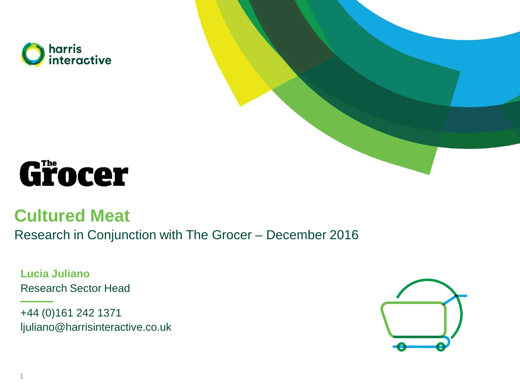





### **Cultured Meat**

Research in Conjunction with The Grocer – December 2016

**Lucia Juliano** Research Sector Head

+44 (0)161 242 1371 ljuliano@harrisinteractive.co.uk

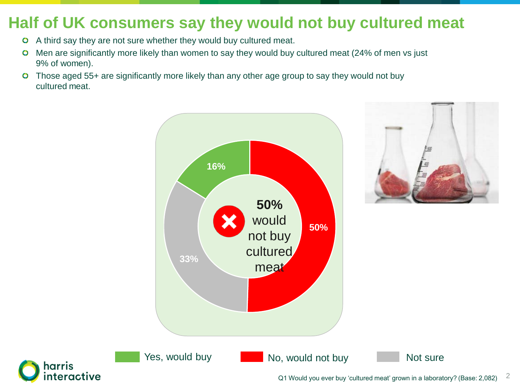## **Half of UK consumers say they would not buy cultured meat**

- A third say they are not sure whether they would buy cultured meat.  $\bullet$
- Men are significantly more likely than women to say they would buy cultured meat (24% of men vs just  $\bullet$ 9% of women).
- **O** Those aged 55+ are significantly more likely than any other age group to say they would not buy cultured meat.





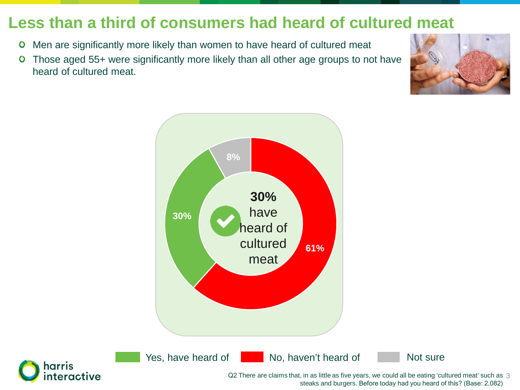### **Less than a third of consumers had heard of cultured meat**

- Men are significantly more likely than women to have heard of cultured meat  $\bullet$
- Those aged 55+ were significantly more likely than all other age groups to not have  $\bullet$ heard of cultured meat.







Yes, have heard of No, haven't heard of Not sure



Q2 There are claims that, in as little as five years, we could all be eating 'cultured meat' such as  $\,3\,$ steaks and burgers. Before today had you heard of this? (Base: 2,082)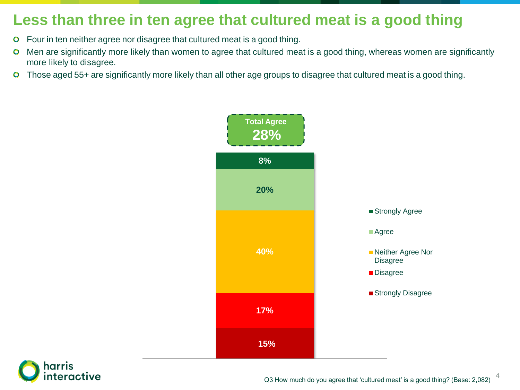### **Less than three in ten agree that cultured meat is a good thing**

- Four in ten neither agree nor disagree that cultured meat is a good thing.  $\bullet$
- Men are significantly more likely than women to agree that cultured meat is a good thing, whereas women are significantly  $\bullet$ more likely to disagree.
- Those aged 55+ are significantly more likely than all other age groups to disagree that cultured meat is a good thing.  $\bullet$





4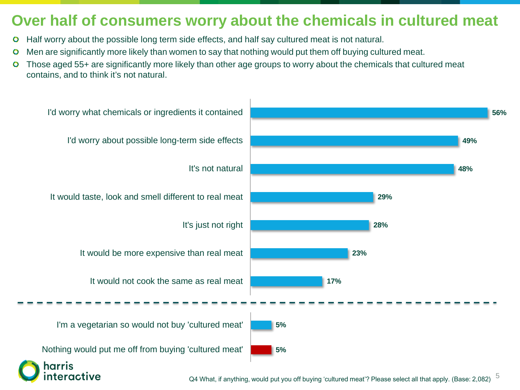#### **Over half of consumers worry about the chemicals in cultured meat**

- Half worry about the possible long term side effects, and half say cultured meat is not natural.  $\bullet$
- Men are significantly more likely than women to say that nothing would put them off buying cultured meat.  $\bullet$
- Those aged 55+ are significantly more likely than other age groups to worry about the chemicals that cultured meat  $\bullet$ contains, and to think it's not natural.

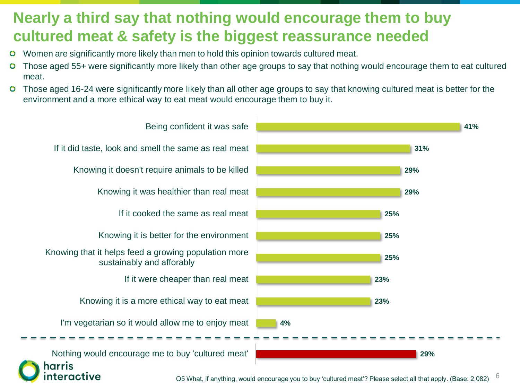### **Nearly a third say that nothing would encourage them to buy cultured meat & safety is the biggest reassurance needed**

- Women are significantly more likely than men to hold this opinion towards cultured meat.
- Those aged 55+ were significantly more likely than other age groups to say that nothing would encourage them to eat cultured meat.
- Those aged 16-24 were significantly more likely than all other age groups to say that knowing cultured meat is better for the environment and a more ethical way to eat meat would encourage them to buy it.

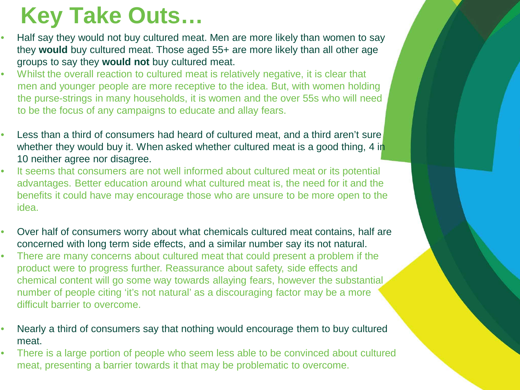# **Key Take Outs…**

- Half say they would not buy cultured meat. Men are more likely than women to say they **would** buy cultured meat. Those aged 55+ are more likely than all other age groups to say they **would not** buy cultured meat.
- Whilst the overall reaction to cultured meat is relatively negative, it is clear that men and younger people are more receptive to the idea. But, with women holding the purse-strings in many households, it is women and the over 55s who will need to be the focus of any campaigns to educate and allay fears.
- Less than a third of consumers had heard of cultured meat, and a third aren't sure whether they would buy it. When asked whether cultured meat is a good thing, 4 in 10 neither agree nor disagree.
- It seems that consumers are not well informed about cultured meat or its potential advantages. Better education around what cultured meat is, the need for it and the benefits it could have may encourage those who are unsure to be more open to the idea.
- Over half of consumers worry about what chemicals cultured meat contains, half are concerned with long term side effects, and a similar number say its not natural.
- There are many concerns about cultured meat that could present a problem if the product were to progress further. Reassurance about safety, side effects and chemical content will go some way towards allaying fears, however the substantial number of people citing 'it's not natural' as a discouraging factor may be a more difficult barrier to overcome.
- Nearly a third of consumers say that nothing would encourage them to buy cultured meat.
- There is a large portion of people who seem less able to be convinced about cultured meat, presenting a barrier towards it that may be problematic to overcome.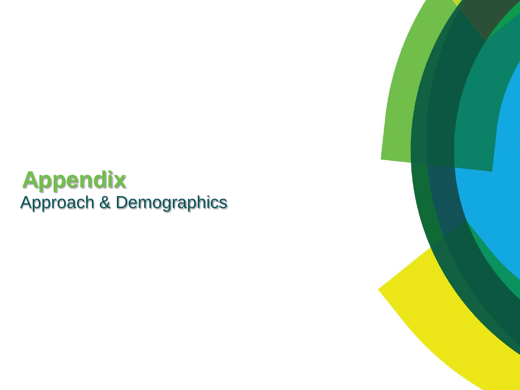# **Appendix** Approach & Demographics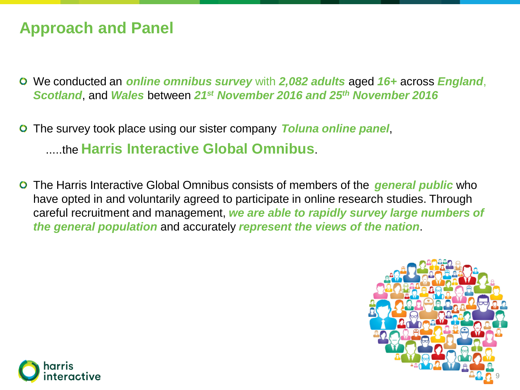### **Approach and Panel**

- We conducted an *online omnibus survey* with *2,082 adults* aged *16+* across *England*, *Scotland*, and *Wales* between *21st November 2016 and 25th November 2016*
- The survey took place using our sister company *Toluna online panel*,  $\bullet$ .....the **Harris Interactive Global Omnibus**.
- The Harris Interactive Global Omnibus consists of members of the *general public* who have opted in and voluntarily agreed to participate in online research studies. Through careful recruitment and management, *we are able to rapidly survey large numbers of the general population* and accurately *represent the views of the nation*.



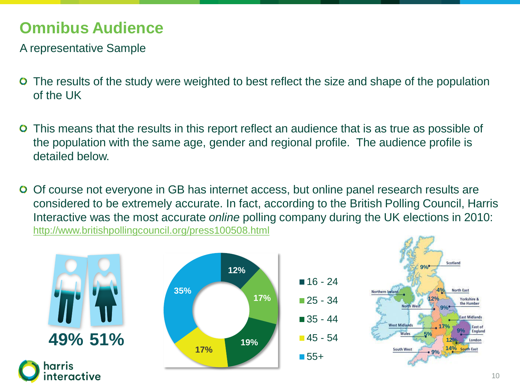## **Omnibus Audience**

A representative Sample

- The results of the study were weighted to best reflect the size and shape of the population  $\bullet$ of the UK
- This means that the results in this report reflect an audience that is as true as possible of  $\bullet$ the population with the same age, gender and regional profile. The audience profile is detailed below.
- Of course not everyone in GB has internet access, but online panel research results are  $\bullet$ considered to be extremely accurate. In fact, according to the British Polling Council, Harris Interactive was the most accurate *online* polling company during the UK elections in 2010: <http://www.britishpollingcouncil.org/press100508.html>



nteractive